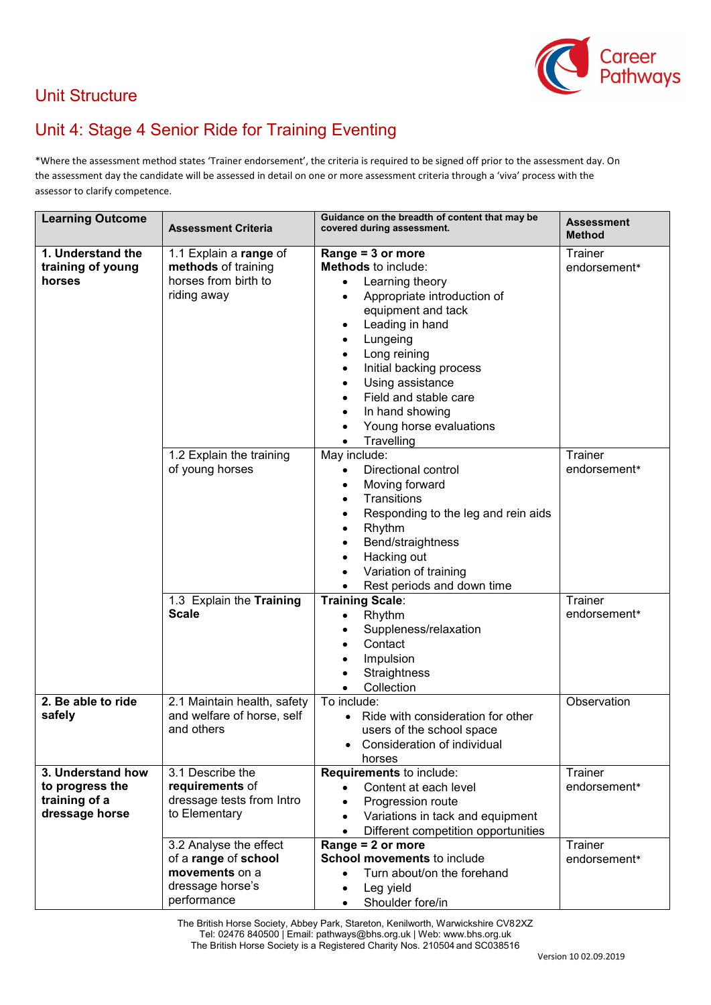

## Unit Structure

## Unit 4: Stage 4 Senior Ride for Training Eventing

\*Where the assessment method states 'Trainer endorsement', the criteria is required to be signed off prior to the assessment day. On the assessment day the candidate will be assessed in detail on one or more assessment criteria through a 'viva' process with the assessor to clarify competence.

| <b>Learning Outcome</b>                | <b>Assessment Criteria</b>                    | Guidance on the breadth of content that may be<br>covered during assessment. | <b>Assessment</b><br>Method |
|----------------------------------------|-----------------------------------------------|------------------------------------------------------------------------------|-----------------------------|
| 1. Understand the<br>training of young | 1.1 Explain a range of<br>methods of training | Range = 3 or more<br><b>Methods</b> to include:                              | Trainer<br>endorsement*     |
| horses                                 | horses from birth to                          | Learning theory<br>$\bullet$                                                 |                             |
|                                        | riding away                                   | Appropriate introduction of<br>$\bullet$                                     |                             |
|                                        |                                               | equipment and tack                                                           |                             |
|                                        |                                               | Leading in hand<br>$\bullet$                                                 |                             |
|                                        |                                               | Lungeing<br>٠                                                                |                             |
|                                        |                                               | Long reining<br>$\bullet$                                                    |                             |
|                                        |                                               | Initial backing process<br>$\bullet$                                         |                             |
|                                        |                                               | Using assistance<br>$\bullet$                                                |                             |
|                                        |                                               | Field and stable care                                                        |                             |
|                                        |                                               | In hand showing                                                              |                             |
|                                        |                                               | Young horse evaluations<br>$\bullet$                                         |                             |
|                                        |                                               | Travelling<br>$\bullet$<br>May include:                                      | Trainer                     |
|                                        | 1.2 Explain the training<br>of young horses   | Directional control<br>$\bullet$                                             | endorsement*                |
|                                        |                                               | Moving forward<br>$\bullet$                                                  |                             |
|                                        |                                               | Transitions<br>$\bullet$                                                     |                             |
|                                        |                                               | Responding to the leg and rein aids                                          |                             |
|                                        |                                               | Rhythm<br>٠                                                                  |                             |
|                                        |                                               | Bend/straightness                                                            |                             |
|                                        |                                               | Hacking out                                                                  |                             |
|                                        |                                               | Variation of training<br>$\bullet$                                           |                             |
|                                        |                                               | Rest periods and down time                                                   |                             |
|                                        | 1.3 Explain the Training                      | Training Scale:                                                              | Trainer                     |
|                                        | <b>Scale</b>                                  | Rhythm<br>$\bullet$                                                          | endorsement*                |
|                                        |                                               | Suppleness/relaxation                                                        |                             |
|                                        |                                               | Contact                                                                      |                             |
|                                        |                                               | Impulsion                                                                    |                             |
|                                        |                                               | Straightness                                                                 |                             |
|                                        |                                               | Collection<br>$\bullet$                                                      |                             |
| 2. Be able to ride                     | 2.1 Maintain health, safety                   | To include:                                                                  | Observation                 |
| safely                                 | and welfare of horse, self                    | Ride with consideration for other<br>$\bullet$                               |                             |
|                                        | and others                                    | users of the school space                                                    |                             |
|                                        |                                               | Consideration of individual                                                  |                             |
| 3. Understand how                      | 3.1 Describe the                              | horses<br>Requirements to include:                                           | Trainer                     |
| to progress the                        | requirements of                               | Content at each level<br>$\bullet$                                           | endorsement*                |
| training of a                          | dressage tests from Intro                     | Progression route<br>$\bullet$                                               |                             |
| dressage horse                         | to Elementary                                 | Variations in tack and equipment<br>$\bullet$                                |                             |
|                                        |                                               | Different competition opportunities<br>$\bullet$                             |                             |
|                                        | 3.2 Analyse the effect                        | Range = 2 or more                                                            | Trainer                     |
|                                        | of a range of school                          | School movements to include                                                  | endorsement*                |
|                                        | movements on a                                | Turn about/on the forehand<br>$\bullet$                                      |                             |
|                                        | dressage horse's                              | Leg yield<br>٠                                                               |                             |
|                                        | performance                                   | Shoulder fore/in<br>$\bullet$                                                |                             |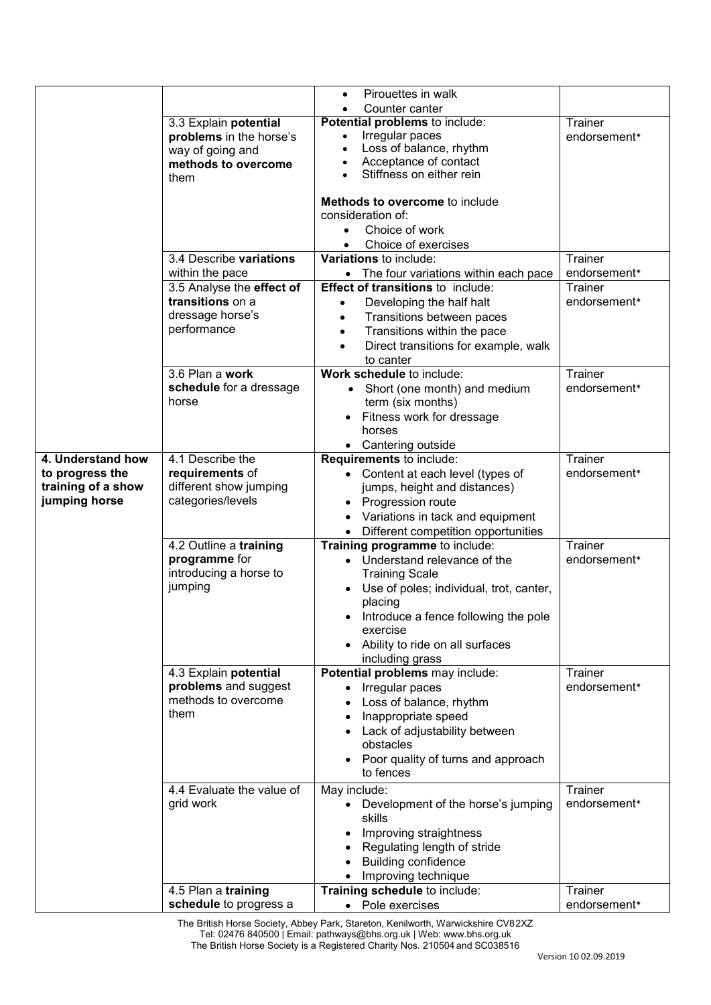|                    |                                                  | Pirouettes in walk<br>$\bullet$                                                               |                         |
|--------------------|--------------------------------------------------|-----------------------------------------------------------------------------------------------|-------------------------|
|                    |                                                  | Counter canter<br>$\bullet$                                                                   |                         |
|                    | 3.3 Explain potential<br>problems in the horse's | Potential problems to include:<br>Irregular paces                                             | Trainer<br>endorsement* |
|                    | way of going and                                 | Loss of balance, rhythm                                                                       |                         |
|                    | methods to overcome                              | Acceptance of contact                                                                         |                         |
|                    | them                                             | Stiffness on either rein                                                                      |                         |
|                    |                                                  | Methods to overcome to include                                                                |                         |
|                    |                                                  | consideration of:                                                                             |                         |
|                    |                                                  | Choice of work                                                                                |                         |
|                    |                                                  | Choice of exercises                                                                           |                         |
|                    | 3.4 Describe variations                          | Variations to include:                                                                        | Trainer                 |
|                    | within the pace                                  | • The four variations within each pace                                                        | endorsement*            |
|                    | 3.5 Analyse the effect of                        | <b>Effect of transitions to include:</b>                                                      | Trainer                 |
|                    | transitions on a                                 | Developing the half halt                                                                      | endorsement*            |
|                    | dressage horse's<br>performance                  | Transitions between paces<br>$\bullet$                                                        |                         |
|                    |                                                  | Transitions within the pace<br>$\bullet$<br>Direct transitions for example, walk<br>$\bullet$ |                         |
|                    |                                                  | to canter                                                                                     |                         |
|                    | 3.6 Plan a work                                  | Work schedule to include:                                                                     | Trainer                 |
|                    | schedule for a dressage                          | • Short (one month) and medium                                                                | endorsement*            |
|                    | horse                                            | term (six months)                                                                             |                         |
|                    |                                                  | Fitness work for dressage                                                                     |                         |
|                    |                                                  | horses                                                                                        |                         |
| 4. Understand how  | 4.1 Describe the                                 | • Cantering outside<br>Requirements to include:                                               | Trainer                 |
| to progress the    | requirements of                                  | • Content at each level (types of                                                             | endorsement*            |
| training of a show | different show jumping                           | jumps, height and distances)                                                                  |                         |
| jumping horse      | categories/levels                                | • Progression route                                                                           |                         |
|                    |                                                  | Variations in tack and equipment                                                              |                         |
|                    |                                                  | Different competition opportunities<br>$\bullet$                                              |                         |
|                    | 4.2 Outline a training                           | Training programme to include:                                                                | <b>Trainer</b>          |
|                    | programme for<br>introducing a horse to          | • Understand relevance of the<br><b>Training Scale</b>                                        | endorsement*            |
|                    | jumping                                          | Use of poles; individual, trot, canter,                                                       |                         |
|                    |                                                  | placing                                                                                       |                         |
|                    |                                                  | Introduce a fence following the pole                                                          |                         |
|                    |                                                  | exercise                                                                                      |                         |
|                    |                                                  | Ability to ride on all surfaces                                                               |                         |
|                    |                                                  | including grass                                                                               | Trainer                 |
|                    | 4.3 Explain potential<br>problems and suggest    | Potential problems may include:<br>Irregular paces                                            | endorsement*            |
|                    | methods to overcome                              | Loss of balance, rhythm                                                                       |                         |
|                    | them                                             | Inappropriate speed                                                                           |                         |
|                    |                                                  | Lack of adjustability between                                                                 |                         |
|                    |                                                  | obstacles                                                                                     |                         |
|                    |                                                  | Poor quality of turns and approach                                                            |                         |
|                    |                                                  | to fences                                                                                     |                         |
|                    | 4.4 Evaluate the value of                        | May include:                                                                                  | Trainer                 |
|                    | grid work                                        | Development of the horse's jumping<br>$\bullet$<br>skills                                     | endorsement*            |
|                    |                                                  | Improving straightness                                                                        |                         |
|                    |                                                  | Regulating length of stride                                                                   |                         |
|                    |                                                  | <b>Building confidence</b>                                                                    |                         |
|                    |                                                  | Improving technique                                                                           |                         |
|                    | 4.5 Plan a training                              | Training schedule to include:                                                                 | Trainer                 |
|                    | schedule to progress a                           | • Pole exercises                                                                              | endorsement*            |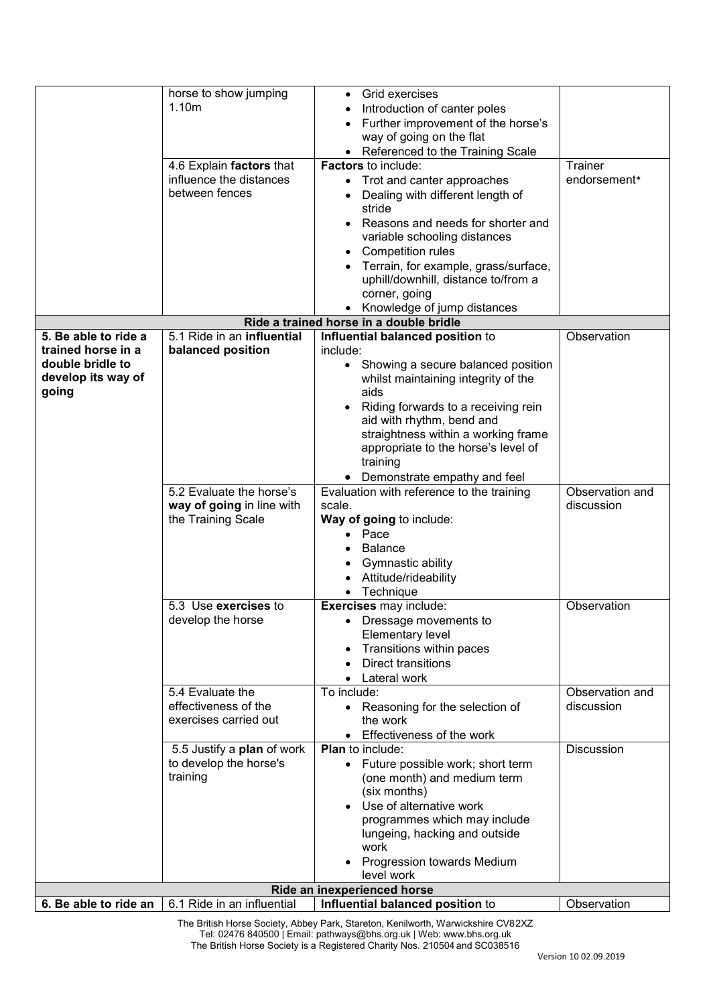|                      | horse to show jumping      | Grid exercises<br>$\bullet$                    |                   |
|----------------------|----------------------------|------------------------------------------------|-------------------|
|                      | 1.10m                      | Introduction of canter poles                   |                   |
|                      |                            | Further improvement of the horse's             |                   |
|                      |                            | way of going on the flat                       |                   |
|                      |                            | • Referenced to the Training Scale             |                   |
|                      |                            |                                                |                   |
|                      | 4.6 Explain factors that   | <b>Factors</b> to include:                     | Trainer           |
|                      | influence the distances    | • Trot and canter approaches                   | endorsement*      |
|                      | between fences             | Dealing with different length of               |                   |
|                      |                            | stride                                         |                   |
|                      |                            | Reasons and needs for shorter and<br>$\bullet$ |                   |
|                      |                            | variable schooling distances                   |                   |
|                      |                            | Competition rules<br>$\bullet$                 |                   |
|                      |                            | Terrain, for example, grass/surface,           |                   |
|                      |                            | uphill/downhill, distance to/from a            |                   |
|                      |                            | corner, going                                  |                   |
|                      |                            | Knowledge of jump distances                    |                   |
|                      |                            | Ride a trained horse in a double bridle        |                   |
| 5. Be able to ride a | 5.1 Ride in an influential | Influential balanced position to               | Observation       |
|                      |                            |                                                |                   |
| trained horse in a   | balanced position          | include:                                       |                   |
| double bridle to     |                            | Showing a secure balanced position             |                   |
| develop its way of   |                            | whilst maintaining integrity of the            |                   |
| going                |                            | aids                                           |                   |
|                      |                            | Riding forwards to a receiving rein            |                   |
|                      |                            | aid with rhythm, bend and                      |                   |
|                      |                            | straightness within a working frame            |                   |
|                      |                            | appropriate to the horse's level of            |                   |
|                      |                            | training                                       |                   |
|                      |                            | • Demonstrate empathy and feel                 |                   |
|                      | 5.2 Evaluate the horse's   | Evaluation with reference to the training      | Observation and   |
|                      | way of going in line with  | scale.                                         | discussion        |
|                      | the Training Scale         | Way of going to include:                       |                   |
|                      |                            | Pace                                           |                   |
|                      |                            | <b>Balance</b>                                 |                   |
|                      |                            | <b>Gymnastic ability</b>                       |                   |
|                      |                            | Attitude/rideability                           |                   |
|                      |                            | Technique                                      |                   |
|                      | 5.3 Use exercises to       | Exercises may include:                         | Observation       |
|                      | develop the horse          |                                                |                   |
|                      |                            | Dressage movements to                          |                   |
|                      |                            | <b>Elementary level</b>                        |                   |
|                      |                            | Transitions within paces                       |                   |
|                      |                            | <b>Direct transitions</b>                      |                   |
|                      |                            | Lateral work                                   |                   |
|                      | 5.4 Evaluate the           | To include:                                    | Observation and   |
|                      | effectiveness of the       | Reasoning for the selection of<br>$\bullet$    | discussion        |
|                      | exercises carried out      | the work                                       |                   |
|                      |                            | Effectiveness of the work                      |                   |
|                      | 5.5 Justify a plan of work | <b>Plan</b> to include:                        | <b>Discussion</b> |
|                      | to develop the horse's     | • Future possible work; short term             |                   |
|                      | training                   | (one month) and medium term                    |                   |
|                      |                            | (six months)                                   |                   |
|                      |                            | Use of alternative work                        |                   |
|                      |                            | programmes which may include                   |                   |
|                      |                            | lungeing, hacking and outside                  |                   |
|                      |                            | work                                           |                   |
|                      |                            | <b>Progression towards Medium</b>              |                   |
|                      |                            |                                                |                   |
|                      |                            | level work                                     |                   |
|                      |                            | Ride an inexperienced horse                    |                   |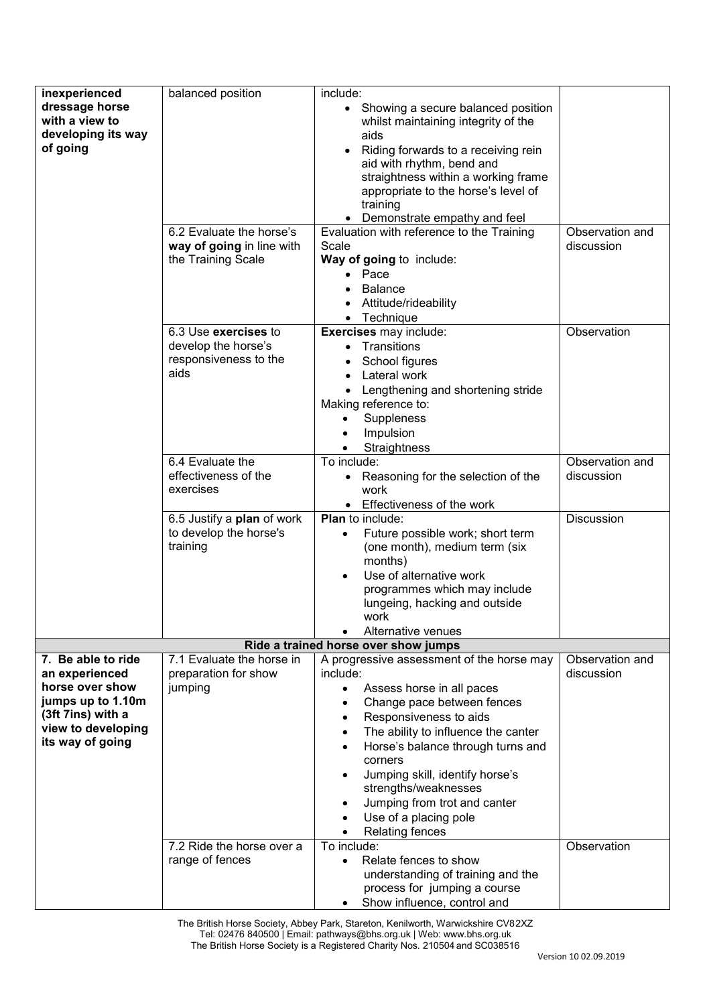| inexperienced      | balanced position          | include:                                         |                 |
|--------------------|----------------------------|--------------------------------------------------|-----------------|
| dressage horse     |                            | • Showing a secure balanced position             |                 |
| with a view to     |                            | whilst maintaining integrity of the              |                 |
|                    |                            |                                                  |                 |
| developing its way |                            | aids                                             |                 |
| of going           |                            | Riding forwards to a receiving rein              |                 |
|                    |                            | aid with rhythm, bend and                        |                 |
|                    |                            | straightness within a working frame              |                 |
|                    |                            | appropriate to the horse's level of              |                 |
|                    |                            | training                                         |                 |
|                    |                            | Demonstrate empathy and feel                     |                 |
|                    |                            |                                                  | Observation and |
|                    | 6.2 Evaluate the horse's   | Evaluation with reference to the Training        |                 |
|                    | way of going in line with  | Scale                                            | discussion      |
|                    | the Training Scale         | Way of going to include:                         |                 |
|                    |                            | Pace<br>$\bullet$                                |                 |
|                    |                            | <b>Balance</b>                                   |                 |
|                    |                            | Attitude/rideability                             |                 |
|                    |                            |                                                  |                 |
|                    |                            | Technique<br>$\bullet$                           |                 |
|                    | 6.3 Use exercises to       | Exercises may include:                           | Observation     |
|                    | develop the horse's        | • Transitions                                    |                 |
|                    | responsiveness to the      | School figures                                   |                 |
|                    | aids                       | Lateral work                                     |                 |
|                    |                            | Lengthening and shortening stride                |                 |
|                    |                            |                                                  |                 |
|                    |                            | Making reference to:                             |                 |
|                    |                            | Suppleness<br>$\bullet$                          |                 |
|                    |                            | Impulsion                                        |                 |
|                    |                            | Straightness<br>$\bullet$                        |                 |
|                    | 6.4 Evaluate the           | To include:                                      | Observation and |
|                    | effectiveness of the       | Reasoning for the selection of the<br>$\bullet$  | discussion      |
|                    | exercises                  |                                                  |                 |
|                    |                            | work                                             |                 |
|                    |                            | Effectiveness of the work<br>$\bullet$           |                 |
|                    | 6.5 Justify a plan of work | <b>Plan</b> to include:                          | Discussion      |
|                    | to develop the horse's     | Future possible work; short term<br>$\bullet$    |                 |
|                    | training                   | (one month), medium term (six                    |                 |
|                    |                            | months)                                          |                 |
|                    |                            | Use of alternative work<br>$\bullet$             |                 |
|                    |                            |                                                  |                 |
|                    |                            | programmes which may include                     |                 |
|                    |                            | lungeing, hacking and outside                    |                 |
|                    |                            | work                                             |                 |
|                    |                            | Alternative venues<br>$\bullet$                  |                 |
|                    |                            | Ride a trained horse over show jumps             |                 |
| 7. Be able to ride | 7.1 Evaluate the horse in  | A progressive assessment of the horse may        | Observation and |
| an experienced     | preparation for show       | include:                                         | discussion      |
| horse over show    | jumping                    | Assess horse in all paces<br>$\bullet$           |                 |
| jumps up to 1.10m  |                            |                                                  |                 |
|                    |                            | Change pace between fences                       |                 |
| (3ft 7ins) with a  |                            | Responsiveness to aids<br>$\bullet$              |                 |
| view to developing |                            | The ability to influence the canter<br>$\bullet$ |                 |
| its way of going   |                            | Horse's balance through turns and<br>$\bullet$   |                 |
|                    |                            | corners                                          |                 |
|                    |                            | Jumping skill, identify horse's                  |                 |
|                    |                            |                                                  |                 |
|                    |                            | strengths/weaknesses                             |                 |
|                    |                            | Jumping from trot and canter<br>$\bullet$        |                 |
|                    |                            | Use of a placing pole                            |                 |
|                    |                            | <b>Relating fences</b><br>$\bullet$              |                 |
|                    | 7.2 Ride the horse over a  | To include:                                      | Observation     |
|                    | range of fences            | Relate fences to show<br>$\bullet$               |                 |
|                    |                            |                                                  |                 |
|                    |                            | understanding of training and the                |                 |
|                    |                            | process for jumping a course                     |                 |
|                    |                            | Show influence, control and<br>$\bullet$         |                 |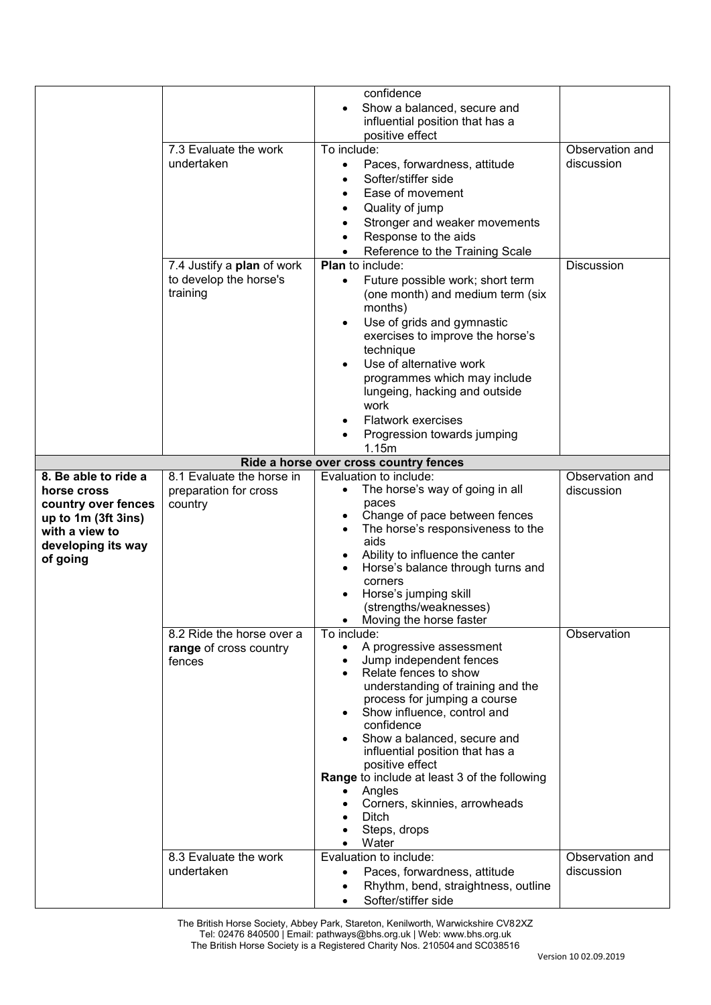|                      |                            | confidence                                                 |                    |
|----------------------|----------------------------|------------------------------------------------------------|--------------------|
|                      |                            | Show a balanced, secure and<br>$\bullet$                   |                    |
|                      |                            | influential position that has a                            |                    |
|                      |                            | positive effect                                            |                    |
|                      | 7.3 Evaluate the work      | To include:                                                | Observation and    |
|                      | undertaken                 | Paces, forwardness, attitude<br>$\bullet$                  | discussion         |
|                      |                            | Softer/stiffer side                                        |                    |
|                      |                            | Ease of movement                                           |                    |
|                      |                            |                                                            |                    |
|                      |                            | Quality of jump                                            |                    |
|                      |                            | Stronger and weaker movements                              |                    |
|                      |                            | Response to the aids<br>$\bullet$                          |                    |
|                      |                            | Reference to the Training Scale                            |                    |
|                      | 7.4 Justify a plan of work | <b>Plan</b> to include:                                    | Discussion         |
|                      | to develop the horse's     | Future possible work; short term<br>$\bullet$              |                    |
|                      | training                   | (one month) and medium term (six                           |                    |
|                      |                            | months)                                                    |                    |
|                      |                            | Use of grids and gymnastic<br>$\bullet$                    |                    |
|                      |                            | exercises to improve the horse's                           |                    |
|                      |                            | technique                                                  |                    |
|                      |                            | Use of alternative work                                    |                    |
|                      |                            | programmes which may include                               |                    |
|                      |                            | lungeing, hacking and outside                              |                    |
|                      |                            | work                                                       |                    |
|                      |                            | <b>Flatwork exercises</b>                                  |                    |
|                      |                            | Progression towards jumping                                |                    |
|                      |                            | 1.15m                                                      |                    |
|                      |                            | Ride a horse over cross country fences                     |                    |
| 8. Be able to ride a | 8.1 Evaluate the horse in  | Evaluation to include:                                     | Observation and    |
| horse cross          | preparation for cross      | The horse's way of going in all<br>$\bullet$               | discussion         |
| country over fences  | country                    | paces                                                      |                    |
| up to 1m (3ft 3ins)  |                            | Change of pace between fences<br>$\bullet$                 |                    |
| with a view to       |                            | The horse's responsiveness to the<br>$\bullet$             |                    |
| developing its way   |                            | aids                                                       |                    |
| of going             |                            | Ability to influence the canter                            |                    |
|                      |                            | Horse's balance through turns and                          |                    |
|                      |                            | corners                                                    |                    |
|                      |                            | Horse's jumping skill                                      |                    |
|                      |                            | (strengths/weaknesses)                                     |                    |
|                      | 8.2 Ride the horse over a  | Moving the horse faster<br>To include:                     | <b>Observation</b> |
|                      | range of cross country     | A progressive assessment<br>$\bullet$                      |                    |
|                      | fences                     | Jump independent fences<br>$\bullet$                       |                    |
|                      |                            | Relate fences to show<br>$\bullet$                         |                    |
|                      |                            | understanding of training and the                          |                    |
|                      |                            | process for jumping a course                               |                    |
|                      |                            | Show influence, control and                                |                    |
|                      |                            | confidence                                                 |                    |
|                      |                            | Show a balanced, secure and<br>$\bullet$                   |                    |
|                      |                            | influential position that has a                            |                    |
|                      |                            | positive effect                                            |                    |
|                      |                            | Range to include at least 3 of the following               |                    |
|                      |                            | Angles                                                     |                    |
|                      |                            | Corners, skinnies, arrowheads<br>$\bullet$                 |                    |
|                      |                            | <b>Ditch</b>                                               |                    |
|                      |                            | Steps, drops                                               |                    |
|                      |                            | Water<br>$\bullet$                                         |                    |
|                      | 8.3 Evaluate the work      | Evaluation to include:                                     | Observation and    |
|                      |                            |                                                            |                    |
|                      | undertaken                 | Paces, forwardness, attitude                               | discussion         |
|                      |                            | Rhythm, bend, straightness, outline<br>Softer/stiffer side |                    |